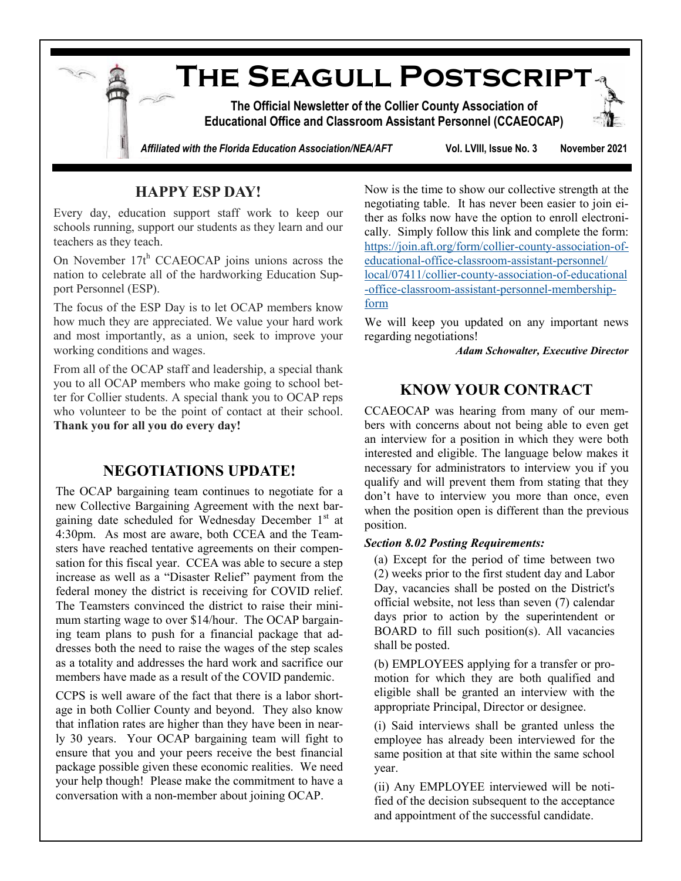

# **HAPPY ESP DAY!**

Every day, education support staff work to keep our schools running, support our students as they learn and our teachers as they teach.

On November  $17t^h$  CCAEOCAP joins unions across the nation to celebrate all of the hardworking Education Support Personnel (ESP).

The focus of the ESP Day is to let OCAP members know how much they are appreciated. We value your hard work and most importantly, as a union, seek to improve your working conditions and wages.

From all of the OCAP staff and leadership, a special thank you to all OCAP members who make going to school better for Collier students. A special thank you to OCAP reps who volunteer to be the point of contact at their school. **Thank you for all you do every day!**

### **NEGOTIATIONS UPDATE!**

The OCAP bargaining team continues to negotiate for a new Collective Bargaining Agreement with the next bargaining date scheduled for Wednesday December 1<sup>st</sup> at 4:30pm. As most are aware, both CCEA and the Teamsters have reached tentative agreements on their compensation for this fiscal year. CCEA was able to secure a step increase as well as a "Disaster Relief" payment from the federal money the district is receiving for COVID relief. The Teamsters convinced the district to raise their minimum starting wage to over \$14/hour. The OCAP bargaining team plans to push for a financial package that addresses both the need to raise the wages of the step scales as a totality and addresses the hard work and sacrifice our members have made as a result of the COVID pandemic.

CCPS is well aware of the fact that there is a labor shortage in both Collier County and beyond. They also know that inflation rates are higher than they have been in nearly 30 years. Your OCAP bargaining team will fight to ensure that you and your peers receive the best financial package possible given these economic realities. We need your help though! Please make the commitment to have a conversation with a non-member about joining OCAP.

Now is the time to show our collective strength at the negotiating table. It has never been easier to join either as folks now have the option to enroll electronically. Simply follow this link and complete the form: [https://join.aft.org/form/collier](https://join.aft.org/form/collier-county-association-of-educational-office-classroom-assistant-personnel/local/07411/collier-county-association-of-educational-office-classroom-assistant-personnel-membership-form)-county-association-of[educational](https://join.aft.org/form/collier-county-association-of-educational-office-classroom-assistant-personnel/local/07411/collier-county-association-of-educational-office-classroom-assistant-personnel-membership-form)-office-classroom-assistant-personnel/ [local/07411/collier](https://join.aft.org/form/collier-county-association-of-educational-office-classroom-assistant-personnel/local/07411/collier-county-association-of-educational-office-classroom-assistant-personnel-membership-form)-county-association-of-educational -office-classroom-assistant-personnel-[membership](https://join.aft.org/form/collier-county-association-of-educational-office-classroom-assistant-personnel/local/07411/collier-county-association-of-educational-office-classroom-assistant-personnel-membership-form)[form](https://join.aft.org/form/collier-county-association-of-educational-office-classroom-assistant-personnel/local/07411/collier-county-association-of-educational-office-classroom-assistant-personnel-membership-form)

We will keep you updated on any important news regarding negotiations!

*Adam Schowalter, Executive Director*

## **KNOW YOUR CONTRACT**

CCAEOCAP was hearing from many of our members with concerns about not being able to even get an interview for a position in which they were both interested and eligible. The language below makes it necessary for administrators to interview you if you qualify and will prevent them from stating that they don't have to interview you more than once, even when the position open is different than the previous position.

#### *Section 8.02 Posting Requirements:*

(a) Except for the period of time between two (2) weeks prior to the first student day and Labor Day, vacancies shall be posted on the District's official website, not less than seven (7) calendar days prior to action by the superintendent or BOARD to fill such position(s). All vacancies shall be posted.

(b) EMPLOYEES applying for a transfer or promotion for which they are both qualified and eligible shall be granted an interview with the appropriate Principal, Director or designee.

(i) Said interviews shall be granted unless the employee has already been interviewed for the same position at that site within the same school year.

(ii) Any EMPLOYEE interviewed will be notified of the decision subsequent to the acceptance and appointment of the successful candidate.